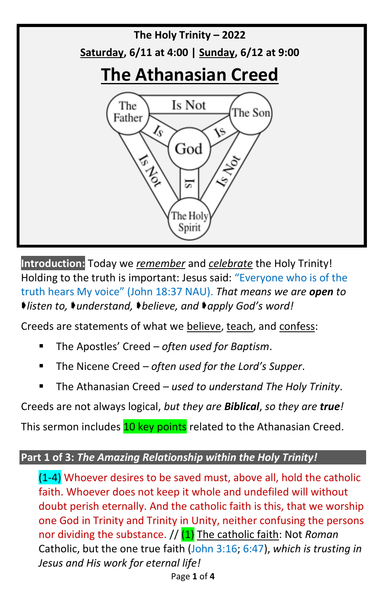

**Introduction:** Today we *remember* and *celebrate* the Holy Trinity! Holding to the truth is important: Jesus said: "Everyone who is of the truth hears My voice" (John 18:37 NAU). *That means we are open to listen to, understand, believe, and apply God's word!*

Creeds are statements of what we believe, teach, and confess:

- The Apostles' Creed *often used for Baptism*.
- The Nicene Creed *often used for the Lord's Supper*.
- The Athanasian Creed used to understand The Holy Trinity.

Creeds are not always logical, *but they are Biblical*, *so they are true!*

This sermon includes 10 key points related to the Athanasian Creed.

## **Part 1 of 3:** *The Amazing Relationship within the Holy Trinity!*

(1-4) Whoever desires to be saved must, above all, hold the catholic faith. Whoever does not keep it whole and undefiled will without doubt perish eternally. And the catholic faith is this, that we worship one God in Trinity and Trinity in Unity, neither confusing the persons nor dividing the substance. // (1) The catholic faith: Not *Roman* Catholic, but the one true faith (John 3:16; 6:47), *which is trusting in Jesus and His work for eternal life!*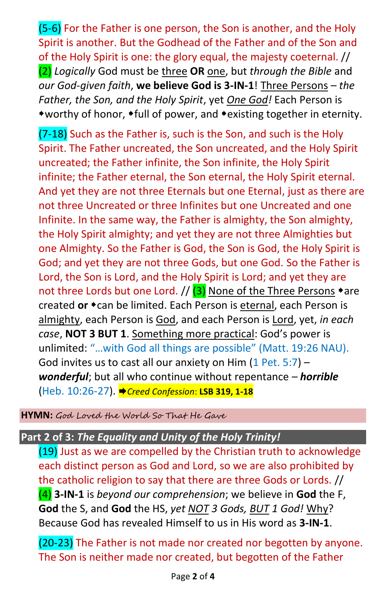(5-6) For the Father is one person, the Son is another, and the Holy Spirit is another. But the Godhead of the Father and of the Son and of the Holy Spirit is one: the glory equal, the majesty coeternal. // (2) *Logically* God must be three **OR** one, but *through the Bible* and *our God-given faith*, **we believe God is 3-IN-1**! Three Persons – *the Father, the Son, and the Holy Spirit*, yet *One God!* Each Person is \*worthy of honor, \*full of power, and \*existing together in eternity.

(7-18) Such as the Father is, such is the Son, and such is the Holy Spirit. The Father uncreated, the Son uncreated, and the Holy Spirit uncreated; the Father infinite, the Son infinite, the Holy Spirit infinite; the Father eternal, the Son eternal, the Holy Spirit eternal. And yet they are not three Eternals but one Eternal, just as there are not three Uncreated or three Infinites but one Uncreated and one Infinite. In the same way, the Father is almighty, the Son almighty, the Holy Spirit almighty; and yet they are not three Almighties but one Almighty. So the Father is God, the Son is God, the Holy Spirit is God; and yet they are not three Gods, but one God. So the Father is Lord, the Son is Lord, and the Holy Spirit is Lord; and yet they are not three Lords but one Lord. //  $(3)$  None of the Three Persons  $*$ are created or  $\star$  can be limited. Each Person is eternal, each Person is almighty, each Person is God, and each Person is Lord, yet, *in each case*, **NOT 3 BUT 1**. Something more practical: God's power is unlimited: "…with God all things are possible" (Matt. 19:26 NAU). God invites us to cast all our anxiety on Him  $(1$  Pet. 5:7) *wonderful*; but all who continue without repentance – *horrible* (Heb. 10:26-27). *Creed Confession*: **LSB 319, 1-18**

**HYMN:** God Loved the World So That He Gave

## **Part 2 of 3:** *The Equality and Unity of the Holy Trinity!*

(19) Just as we are compelled by the Christian truth to acknowledge each distinct person as God and Lord, so we are also prohibited by the catholic religion to say that there are three Gods or Lords. // (4) **3-IN-1** is *beyond our comprehension*; we believe in **God** the F, **God** the S, and **God** the HS, *yet NOT 3 Gods, BUT 1 God!* Why? Because God has revealed Himself to us in His word as **3-IN-1**.

(20-23) The Father is not made nor created nor begotten by anyone. The Son is neither made nor created, but begotten of the Father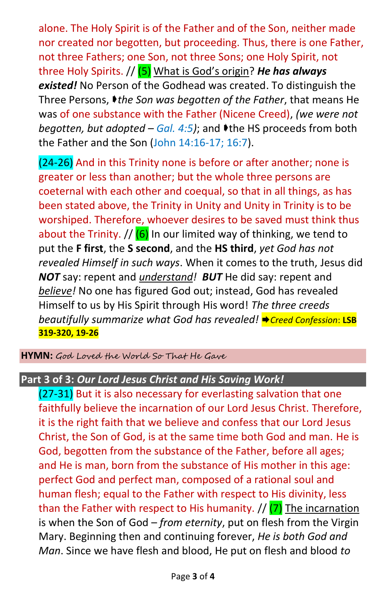alone. The Holy Spirit is of the Father and of the Son, neither made nor created nor begotten, but proceeding. Thus, there is one Father, not three Fathers; one Son, not three Sons; one Holy Spirit, not three Holy Spirits. // (5) What is God's origin? *He has always existed!* No Person of the Godhead was created. To distinguish the Three Persons, *the Son was begotten of the Father*, that means He was of one substance with the Father (Nicene Creed), *(we were not begotten, but adopted – Gal. 4:5)*; and **I** the HS proceeds from both the Father and the Son (John 14:16-17; 16:7).

(24-26) And in this Trinity none is before or after another; none is greater or less than another; but the whole three persons are coeternal with each other and coequal, so that in all things, as has been stated above, the Trinity in Unity and Unity in Trinity is to be worshiped. Therefore, whoever desires to be saved must think thus about the Trinity.  $//$  (6) In our limited way of thinking, we tend to put the **F first**, the **S second**, and the **HS third**, *yet God has not revealed Himself in such ways*. When it comes to the truth, Jesus did *NOT* say: repent and *understand! BUT* He did say: repent and *believe!* No one has figured God out; instead, God has revealed Himself to us by His Spirit through His word! *The three creeds beautifully summarize* what God has revealed! ♦ Creed Confession: LSB **319-320, 19-26**

**HYMN:** God Loved the World So That He Gave

## **Part 3 of 3:** *Our Lord Jesus Christ and His Saving Work!*

(27-31) But it is also necessary for everlasting salvation that one faithfully believe the incarnation of our Lord Jesus Christ. Therefore, it is the right faith that we believe and confess that our Lord Jesus Christ, the Son of God, is at the same time both God and man. He is God, begotten from the substance of the Father, before all ages; and He is man, born from the substance of His mother in this age: perfect God and perfect man, composed of a rational soul and human flesh; equal to the Father with respect to His divinity, less than the Father with respect to His humanity.  $//$  (7) The incarnation is when the Son of God – *from eternity*, put on flesh from the Virgin Mary. Beginning then and continuing forever, *He is both God and Man*. Since we have flesh and blood, He put on flesh and blood *to*